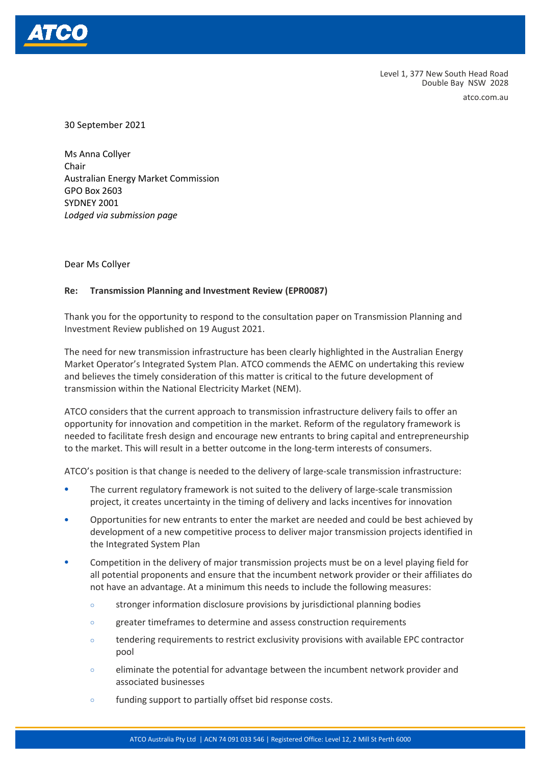

Level 1, 377 New South Head Road Double Bay NSW 2028

atco.com.au

30 September 2021

Ms Anna Collyer Chair Australian Energy Market Commission GPO Box 2603 SYDNEY 2001 *Lodged via submission page*

Dear Ms Collyer

#### **Re: Transmission Planning and Investment Review (EPR0087)**

Thank you for the opportunity to respond to the consultation paper on Transmission Planning and Investment Review published on 19 August 2021.

The need for new transmission infrastructure has been clearly highlighted in the Australian Energy Market Operator's Integrated System Plan. ATCO commends the AEMC on undertaking this review and believes the timely consideration of this matter is critical to the future development of transmission within the National Electricity Market (NEM).

ATCO considers that the current approach to transmission infrastructure delivery fails to offer an opportunity for innovation and competition in the market. Reform of the regulatory framework is needed to facilitate fresh design and encourage new entrants to bring capital and entrepreneurship to the market. This will result in a better outcome in the long-term interests of consumers.

ATCO's position is that change is needed to the delivery of large-scale transmission infrastructure:

- The current regulatory framework is not suited to the delivery of large-scale transmission project, it creates uncertainty in the timing of delivery and lacks incentives for innovation
- Opportunities for new entrants to enter the market are needed and could be best achieved by development of a new competitive process to deliver major transmission projects identified in the Integrated System Plan
- Competition in the delivery of major transmission projects must be on a level playing field for all potential proponents and ensure that the incumbent network provider or their affiliates do not have an advantage. At a minimum this needs to include the following measures:
	- o stronger information disclosure provisions by jurisdictional planning bodies
	- o greater timeframes to determine and assess construction requirements
	- o tendering requirements to restrict exclusivity provisions with available EPC contractor pool
	- o eliminate the potential for advantage between the incumbent network provider and associated businesses
	- o funding support to partially offset bid response costs.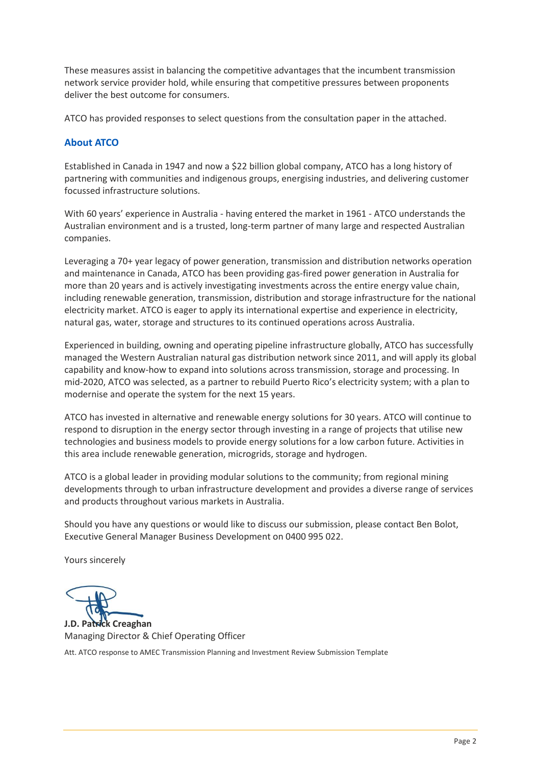These measures assist in balancing the competitive advantages that the incumbent transmission network service provider hold, while ensuring that competitive pressures between proponents deliver the best outcome for consumers.

ATCO has provided responses to select questions from the consultation paper in the attached.

#### **About ATCO**

Established in Canada in 1947 and now a \$22 billion global company, ATCO has a long history of partnering with communities and indigenous groups, energising industries, and delivering customer focussed infrastructure solutions.

With 60 years' experience in Australia - having entered the market in 1961 - ATCO understands the Australian environment and is a trusted, long-term partner of many large and respected Australian companies.

Leveraging a 70+ year legacy of power generation, transmission and distribution networks operation and maintenance in Canada, ATCO has been providing gas-fired power generation in Australia for more than 20 years and is actively investigating investments across the entire energy value chain, including renewable generation, transmission, distribution and storage infrastructure for the national electricity market. ATCO is eager to apply its international expertise and experience in electricity, natural gas, water, storage and structures to its continued operations across Australia.

Experienced in building, owning and operating pipeline infrastructure globally, ATCO has successfully managed the Western Australian natural gas distribution network since 2011, and will apply its global capability and know-how to expand into solutions across transmission, storage and processing. In mid-2020, ATCO was selected, as a partner to rebuild Puerto Rico's electricity system; with a plan to modernise and operate the system for the next 15 years.

ATCO has invested in alternative and renewable energy solutions for 30 years. ATCO will continue to respond to disruption in the energy sector through investing in a range of projects that utilise new technologies and business models to provide energy solutions for a low carbon future. Activities in this area include renewable generation, microgrids, storage and hydrogen.

ATCO is a global leader in providing modular solutions to the community; from regional mining developments through to urban infrastructure development and provides a diverse range of services and products throughout various markets in Australia.

Should you have any questions or would like to discuss our submission, please contact Ben Bolot, Executive General Manager Business Development on 0400 995 022.

Yours sincerely

**J.D. Patrick Creaghan** Managing Director & Chief Operating Officer

Att. ATCO response to AMEC Transmission Planning and Investment Review Submission Template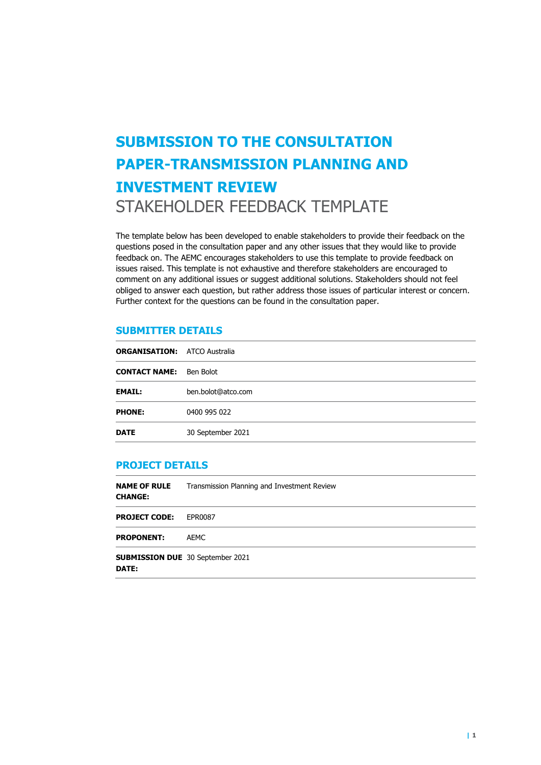# **SUBMISSION TO THE CONSULTATION PAPER-TRANSMISSION PLANNING AND INVESTMENT REVIEW**  STAKEHOLDER FEEDBACK TEMPLATE

The template below has been developed to enable stakeholders to provide their feedback on the questions posed in the consultation paper and any other issues that they would like to provide feedback on. The AEMC encourages stakeholders to use this template to provide feedback on issues raised. This template is not exhaustive and therefore stakeholders are encouraged to comment on any additional issues or suggest additional solutions. Stakeholders should not feel obliged to answer each question, but rather address those issues of particular interest or concern. Further context for the questions can be found in the consultation paper.

#### **SUBMITTER DETAILS**

| <b>ORGANISATION: ATCO Australia</b> |                    |
|-------------------------------------|--------------------|
| <b>CONTACT NAME:</b> Ben Bolot      |                    |
| <b>EMAIL:</b>                       | ben.bolot@atco.com |
| <b>PHONE:</b>                       | 0400 995 022       |
| <b>DATE</b>                         | 30 September 2021  |

#### **PROJECT DETAILS**

| <b>NAME OF RULE</b><br><b>CHANGE:</b>                   | Transmission Planning and Investment Review |  |
|---------------------------------------------------------|---------------------------------------------|--|
| <b>PROJECT CODE:</b>                                    | EPR0087                                     |  |
| <b>PROPONENT:</b>                                       | AEMC                                        |  |
| <b>SUBMISSION DUE</b> 30 September 2021<br><b>DATE:</b> |                                             |  |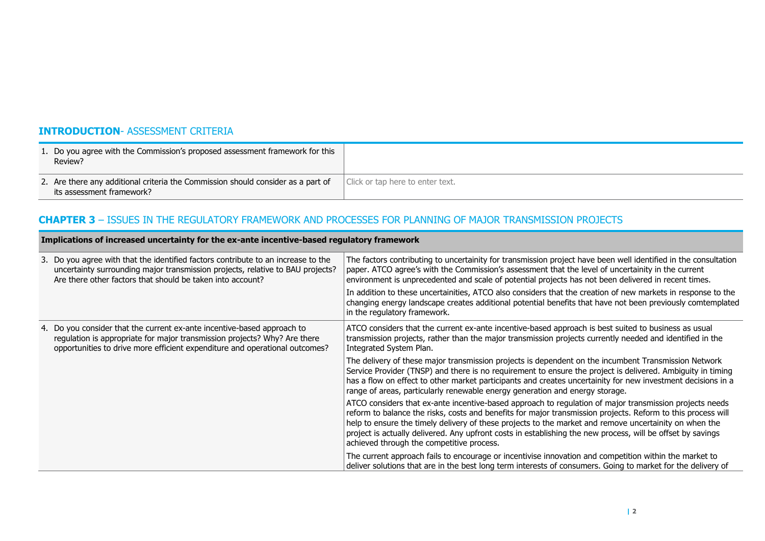### **INTRODUCTION**- ASSESSMENT CRITERIA

| 1. Do you agree with the Commission's proposed assessment framework for this<br>Review?                       |                                  |
|---------------------------------------------------------------------------------------------------------------|----------------------------------|
| 2. Are there any additional criteria the Commission should consider as a part of<br>its assessment framework? | Click or tap here to enter text. |

# **CHAPTER 3** – ISSUES IN THE REGULATORY FRAMEWORK AND PROCESSES FOR PLANNING OF MAJOR TRANSMISSION PROJECTS

| Implications of increased uncertainty for the ex-ante incentive-based regulatory framework |                                                                                                                                                                                                                                     |                                                                                                                                                                                                                                                                                                                                                                                                                                                                                               |
|--------------------------------------------------------------------------------------------|-------------------------------------------------------------------------------------------------------------------------------------------------------------------------------------------------------------------------------------|-----------------------------------------------------------------------------------------------------------------------------------------------------------------------------------------------------------------------------------------------------------------------------------------------------------------------------------------------------------------------------------------------------------------------------------------------------------------------------------------------|
|                                                                                            | 3. Do you agree with that the identified factors contribute to an increase to the<br>uncertainty surrounding major transmission projects, relative to BAU projects?<br>Are there other factors that should be taken into account?   | The factors contributing to uncertainity for transmission project have been well identified in the consultation<br>paper. ATCO agree's with the Commission's assessment that the level of uncertainity in the current<br>environment is unprecedented and scale of potential projects has not been delivered in recent times.                                                                                                                                                                 |
|                                                                                            |                                                                                                                                                                                                                                     | In addition to these uncertainities, ATCO also considers that the creation of new markets in response to the<br>changing energy landscape creates additional potential benefits that have not been previously comtemplated<br>in the regulatory framework.                                                                                                                                                                                                                                    |
|                                                                                            | 4. Do you consider that the current ex-ante incentive-based approach to<br>regulation is appropriate for major transmission projects? Why? Are there<br>opportunities to drive more efficient expenditure and operational outcomes? | ATCO considers that the current ex-ante incentive-based approach is best suited to business as usual<br>transmission projects, rather than the major transmission projects currently needed and identified in the<br>Integrated System Plan.                                                                                                                                                                                                                                                  |
|                                                                                            |                                                                                                                                                                                                                                     | The delivery of these major transmission projects is dependent on the incumbent Transmission Network<br>Service Provider (TNSP) and there is no requirement to ensure the project is delivered. Ambiguity in timing<br>has a flow on effect to other market participants and creates uncertainity for new investment decisions in a<br>range of areas, particularly renewable energy generation and energy storage.                                                                           |
|                                                                                            |                                                                                                                                                                                                                                     | ATCO considers that ex-ante incentive-based approach to regulation of major transmission projects needs<br>reform to balance the risks, costs and benefits for major transmission projects. Reform to this process will<br>help to ensure the timely delivery of these projects to the market and remove uncertainity on when the<br>project is actually delivered. Any upfront costs in establishing the new process, will be offset by savings<br>achieved through the competitive process. |
|                                                                                            |                                                                                                                                                                                                                                     | The current approach fails to encourage or incentivise innovation and competition within the market to<br>deliver solutions that are in the best long term interests of consumers. Going to market for the delivery of                                                                                                                                                                                                                                                                        |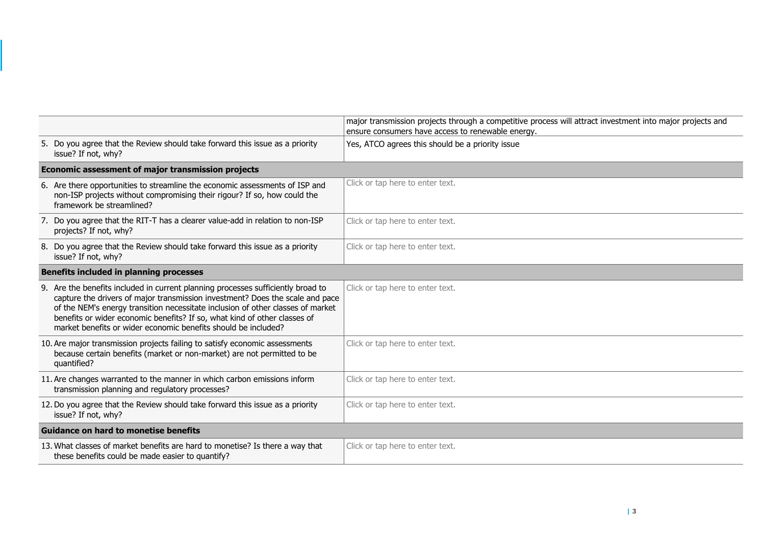|                                                                                                                                                                                                                                                                                                                                                                                                     | major transmission projects through a competitive process will attract investment into major projects and<br>ensure consumers have access to renewable energy. |  |
|-----------------------------------------------------------------------------------------------------------------------------------------------------------------------------------------------------------------------------------------------------------------------------------------------------------------------------------------------------------------------------------------------------|----------------------------------------------------------------------------------------------------------------------------------------------------------------|--|
| 5. Do you agree that the Review should take forward this issue as a priority<br>issue? If not, why?                                                                                                                                                                                                                                                                                                 | Yes, ATCO agrees this should be a priority issue                                                                                                               |  |
| Economic assessment of major transmission projects                                                                                                                                                                                                                                                                                                                                                  |                                                                                                                                                                |  |
| 6. Are there opportunities to streamline the economic assessments of ISP and<br>non-ISP projects without compromising their rigour? If so, how could the<br>framework be streamlined?                                                                                                                                                                                                               | Click or tap here to enter text.                                                                                                                               |  |
| 7. Do you agree that the RIT-T has a clearer value-add in relation to non-ISP<br>projects? If not, why?                                                                                                                                                                                                                                                                                             | Click or tap here to enter text.                                                                                                                               |  |
| 8. Do you agree that the Review should take forward this issue as a priority<br>issue? If not, why?                                                                                                                                                                                                                                                                                                 | Click or tap here to enter text.                                                                                                                               |  |
| <b>Benefits included in planning processes</b>                                                                                                                                                                                                                                                                                                                                                      |                                                                                                                                                                |  |
| 9. Are the benefits included in current planning processes sufficiently broad to<br>capture the drivers of major transmission investment? Does the scale and pace<br>of the NEM's energy transition necessitate inclusion of other classes of market<br>benefits or wider economic benefits? If so, what kind of other classes of<br>market benefits or wider economic benefits should be included? | Click or tap here to enter text.                                                                                                                               |  |
| 10. Are major transmission projects failing to satisfy economic assessments<br>because certain benefits (market or non-market) are not permitted to be<br>quantified?                                                                                                                                                                                                                               | Click or tap here to enter text.                                                                                                                               |  |
| 11. Are changes warranted to the manner in which carbon emissions inform<br>transmission planning and regulatory processes?                                                                                                                                                                                                                                                                         | Click or tap here to enter text.                                                                                                                               |  |
| 12. Do you agree that the Review should take forward this issue as a priority<br>issue? If not, why?                                                                                                                                                                                                                                                                                                | Click or tap here to enter text.                                                                                                                               |  |
| <b>Guidance on hard to monetise benefits</b>                                                                                                                                                                                                                                                                                                                                                        |                                                                                                                                                                |  |
| 13. What classes of market benefits are hard to monetise? Is there a way that<br>these benefits could be made easier to quantify?                                                                                                                                                                                                                                                                   | Click or tap here to enter text.                                                                                                                               |  |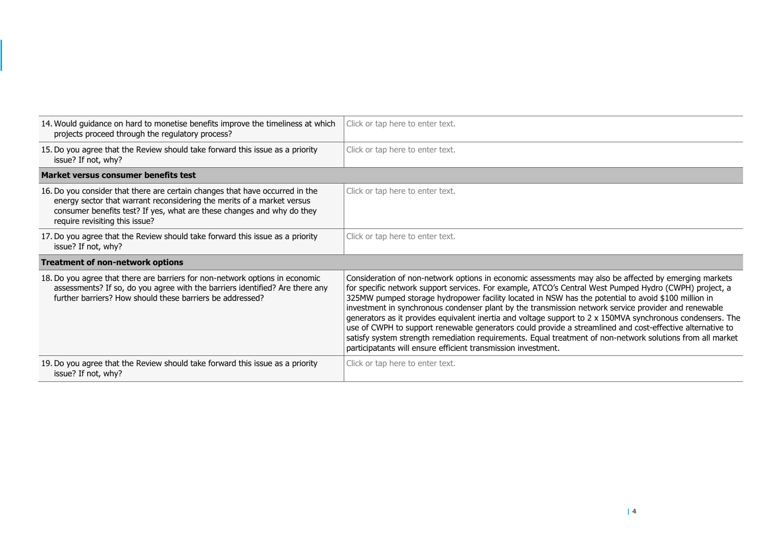| 14. Would guidance on hard to monetise benefits improve the timeliness at which<br>projects proceed through the regulatory process?                                                                                                                                | Click or tap here to enter text.                                                                                                                                                                                                                                                                                                                                                                                                                                                                                                                                                                                                                                                                                                                                                                                                                 |  |
|--------------------------------------------------------------------------------------------------------------------------------------------------------------------------------------------------------------------------------------------------------------------|--------------------------------------------------------------------------------------------------------------------------------------------------------------------------------------------------------------------------------------------------------------------------------------------------------------------------------------------------------------------------------------------------------------------------------------------------------------------------------------------------------------------------------------------------------------------------------------------------------------------------------------------------------------------------------------------------------------------------------------------------------------------------------------------------------------------------------------------------|--|
| 15. Do you agree that the Review should take forward this issue as a priority<br>issue? If not, why?                                                                                                                                                               | Click or tap here to enter text.                                                                                                                                                                                                                                                                                                                                                                                                                                                                                                                                                                                                                                                                                                                                                                                                                 |  |
| Market versus consumer benefits test                                                                                                                                                                                                                               |                                                                                                                                                                                                                                                                                                                                                                                                                                                                                                                                                                                                                                                                                                                                                                                                                                                  |  |
| 16. Do you consider that there are certain changes that have occurred in the<br>energy sector that warrant reconsidering the merits of a market versus<br>consumer benefits test? If yes, what are these changes and why do they<br>require revisiting this issue? | Click or tap here to enter text.                                                                                                                                                                                                                                                                                                                                                                                                                                                                                                                                                                                                                                                                                                                                                                                                                 |  |
| 17. Do you agree that the Review should take forward this issue as a priority<br>issue? If not, why?                                                                                                                                                               | Click or tap here to enter text.                                                                                                                                                                                                                                                                                                                                                                                                                                                                                                                                                                                                                                                                                                                                                                                                                 |  |
| <b>Treatment of non-network options</b>                                                                                                                                                                                                                            |                                                                                                                                                                                                                                                                                                                                                                                                                                                                                                                                                                                                                                                                                                                                                                                                                                                  |  |
| 18. Do you agree that there are barriers for non-network options in economic<br>assessments? If so, do you agree with the barriers identified? Are there any<br>further barriers? How should these barriers be addressed?                                          | Consideration of non-network options in economic assessments may also be affected by emerging markets<br>for specific network support services. For example, ATCO's Central West Pumped Hydro (CWPH) project, a<br>325MW pumped storage hydropower facility located in NSW has the potential to avoid \$100 million in<br>investment in synchronous condenser plant by the transmission network service provider and renewable<br>generators as it provides equivalent inertia and voltage support to $2 \times 150$ MVA synchronous condensers. The<br>use of CWPH to support renewable generators could provide a streamlined and cost-effective alternative to<br>satisfy system strength remediation requirements. Equal treatment of non-network solutions from all market<br>participatants will ensure efficient transmission investment. |  |
| 19. Do you agree that the Review should take forward this issue as a priority<br>issue? If not, why?                                                                                                                                                               | Click or tap here to enter text.                                                                                                                                                                                                                                                                                                                                                                                                                                                                                                                                                                                                                                                                                                                                                                                                                 |  |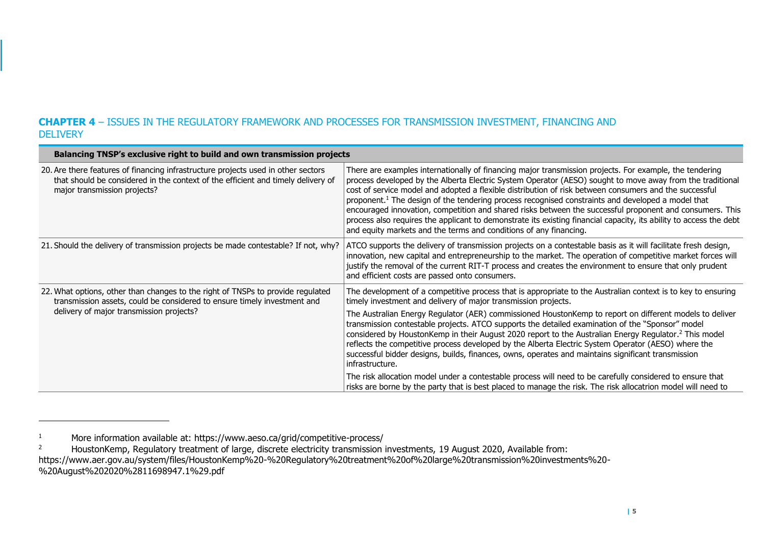## **CHAPTER 4** – ISSUES IN THE REGULATORY FRAMEWORK AND PROCESSES FOR TRANSMISSION INVESTMENT, FINANCING AND **DELIVERY**

| Balancing TNSP's exclusive right to build and own transmission projects                                                                                                                               |                                                                                                                                                                                                                                                                                                                                                                                                                                                                                                                                                                                                                                                                                                                                                        |
|-------------------------------------------------------------------------------------------------------------------------------------------------------------------------------------------------------|--------------------------------------------------------------------------------------------------------------------------------------------------------------------------------------------------------------------------------------------------------------------------------------------------------------------------------------------------------------------------------------------------------------------------------------------------------------------------------------------------------------------------------------------------------------------------------------------------------------------------------------------------------------------------------------------------------------------------------------------------------|
| 20. Are there features of financing infrastructure projects used in other sectors<br>that should be considered in the context of the efficient and timely delivery of<br>major transmission projects? | There are examples internationally of financing major transmission projects. For example, the tendering<br>process developed by the Alberta Electric System Operator (AESO) sought to move away from the traditional<br>cost of service model and adopted a flexible distribution of risk between consumers and the successful<br>proponent. <sup>1</sup> The design of the tendering process recognised constraints and developed a model that<br>encouraged innovation, competition and shared risks between the successful proponent and consumers. This<br>process also requires the applicant to demonstrate its existing financial capacity, its ability to access the debt<br>and equity markets and the terms and conditions of any financing. |
| 21. Should the delivery of transmission projects be made contestable? If not, why?                                                                                                                    | ATCO supports the delivery of transmission projects on a contestable basis as it will facilitate fresh design,<br>innovation, new capital and entrepreneurship to the market. The operation of competitive market forces will<br>justify the removal of the current RIT-T process and creates the environment to ensure that only prudent<br>and efficient costs are passed onto consumers.                                                                                                                                                                                                                                                                                                                                                            |
| 22. What options, other than changes to the right of TNSPs to provide regulated<br>transmission assets, could be considered to ensure timely investment and                                           | The development of a competitive process that is appropriate to the Australian context is to key to ensuring<br>timely investment and delivery of major transmission projects.                                                                                                                                                                                                                                                                                                                                                                                                                                                                                                                                                                         |
| delivery of major transmission projects?                                                                                                                                                              | The Australian Energy Regulator (AER) commissioned HoustonKemp to report on different models to deliver<br>transmission contestable projects. ATCO supports the detailed examination of the "Sponsor" model<br>considered by HoustonKemp in their August 2020 report to the Australian Energy Regulator. <sup>2</sup> This model<br>reflects the competitive process developed by the Alberta Electric System Operator (AESO) where the<br>successful bidder designs, builds, finances, owns, operates and maintains significant transmission<br>infrastructure.                                                                                                                                                                                       |
|                                                                                                                                                                                                       | The risk allocation model under a contestable process will need to be carefully considered to ensure that<br>risks are borne by the party that is best placed to manage the risk. The risk allocatrion model will need to                                                                                                                                                                                                                                                                                                                                                                                                                                                                                                                              |

<sup>1</sup> More information available at: https://www.aeso.ca/grid/competitive-process/<br>2 HoustonKemp, Requilatory treatment of large, discrete electricity transmission is

<sup>2</sup> HoustonKemp, Regulatory treatment of large, discrete electricity transmission investments, 19 August 2020, Available from: https://www.aer.gov.au/system/files/HoustonKemp%20-%20Regulatory%20treatment%20of%20large%20transmission%20investments%20- %20August%202020%2811698947.1%29.pdf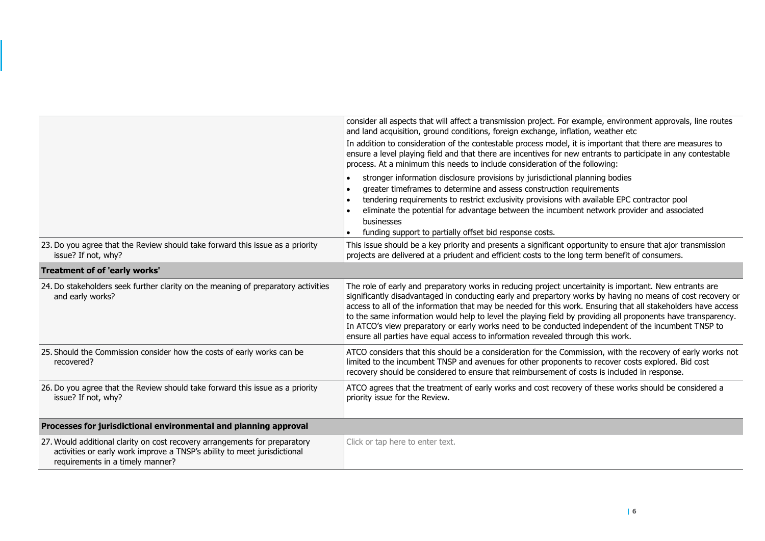|                                                                                                                                                                                            | consider all aspects that will affect a transmission project. For example, environment approvals, line routes<br>and land acquisition, ground conditions, foreign exchange, inflation, weather etc                                                                                                                                                                                                                                                                                                                                                                                                                                                |  |
|--------------------------------------------------------------------------------------------------------------------------------------------------------------------------------------------|---------------------------------------------------------------------------------------------------------------------------------------------------------------------------------------------------------------------------------------------------------------------------------------------------------------------------------------------------------------------------------------------------------------------------------------------------------------------------------------------------------------------------------------------------------------------------------------------------------------------------------------------------|--|
|                                                                                                                                                                                            | In addition to consideration of the contestable process model, it is important that there are measures to<br>ensure a level playing field and that there are incentives for new entrants to participate in any contestable<br>process. At a minimum this needs to include consideration of the following:                                                                                                                                                                                                                                                                                                                                         |  |
|                                                                                                                                                                                            | stronger information disclosure provisions by jurisdictional planning bodies<br>greater timeframes to determine and assess construction requirements<br>tendering requirements to restrict exclusivity provisions with available EPC contractor pool<br>eliminate the potential for advantage between the incumbent network provider and associated<br>businesses<br>funding support to partially offset bid response costs.                                                                                                                                                                                                                      |  |
| 23. Do you agree that the Review should take forward this issue as a priority<br>issue? If not, why?                                                                                       | This issue should be a key priority and presents a significant opportunity to ensure that ajor transmission<br>projects are delivered at a priudent and efficient costs to the long term benefit of consumers.                                                                                                                                                                                                                                                                                                                                                                                                                                    |  |
| <b>Treatment of of 'early works'</b>                                                                                                                                                       |                                                                                                                                                                                                                                                                                                                                                                                                                                                                                                                                                                                                                                                   |  |
| 24. Do stakeholders seek further clarity on the meaning of preparatory activities<br>and early works?                                                                                      | The role of early and preparatory works in reducing project uncertainity is important. New entrants are<br>significantly disadvantaged in conducting early and prepartory works by having no means of cost recovery or<br>access to all of the information that may be needed for this work. Ensuring that all stakeholders have access<br>to the same information would help to level the playing field by providing all proponents have transparency.<br>In ATCO's view preparatory or early works need to be conducted independent of the incumbent TNSP to<br>ensure all parties have equal access to information revealed through this work. |  |
| 25. Should the Commission consider how the costs of early works can be<br>recovered?                                                                                                       | ATCO considers that this should be a consideration for the Commission, with the recovery of early works not<br>limited to the incumbent TNSP and avenues for other proponents to recover costs explored. Bid cost<br>recovery should be considered to ensure that reimbursement of costs is included in response.                                                                                                                                                                                                                                                                                                                                 |  |
| 26. Do you agree that the Review should take forward this issue as a priority<br>issue? If not, why?                                                                                       | ATCO agrees that the treatment of early works and cost recovery of these works should be considered a<br>priority issue for the Review.                                                                                                                                                                                                                                                                                                                                                                                                                                                                                                           |  |
| Processes for jurisdictional environmental and planning approval                                                                                                                           |                                                                                                                                                                                                                                                                                                                                                                                                                                                                                                                                                                                                                                                   |  |
| 27. Would additional clarity on cost recovery arrangements for preparatory<br>activities or early work improve a TNSP's ability to meet jurisdictional<br>requirements in a timely manner? | Click or tap here to enter text.                                                                                                                                                                                                                                                                                                                                                                                                                                                                                                                                                                                                                  |  |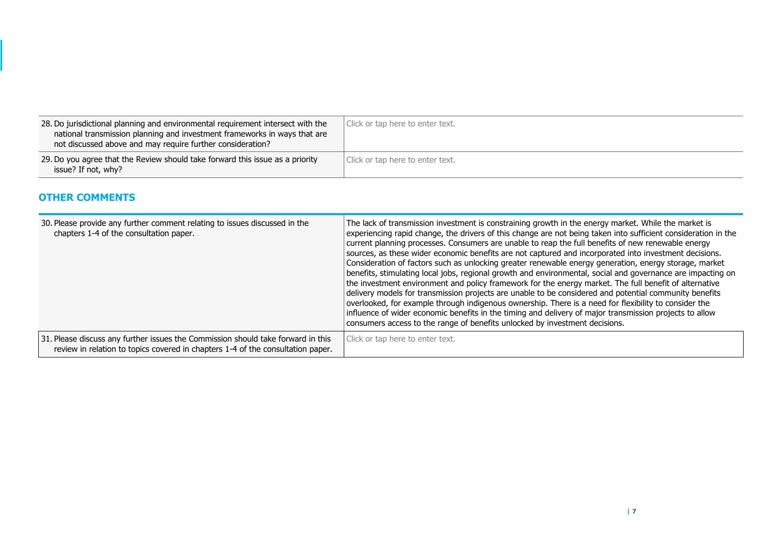| 28. Do jurisdictional planning and environmental requirement intersect with the<br>national transmission planning and investment frameworks in ways that are<br>not discussed above and may require further consideration? | Click or tap here to enter text. |
|----------------------------------------------------------------------------------------------------------------------------------------------------------------------------------------------------------------------------|----------------------------------|
| 29. Do you agree that the Review should take forward this issue as a priority<br>issue? If not, why?                                                                                                                       | Click or tap here to enter text. |

#### **OTHER COMMENTS**

| 30. Please provide any further comment relating to issues discussed in the<br>chapters 1-4 of the consultation paper.                                               | The lack of transmission investment is constraining growth in the energy market. While the market is<br>experiencing rapid change, the drivers of this change are not being taken into sufficient consideration in the<br>current planning processes. Consumers are unable to reap the full benefits of new renewable energy<br>sources, as these wider economic benefits are not captured and incorporated into investment decisions.<br>Consideration of factors such as unlocking greater renewable energy generation, energy storage, market<br>benefits, stimulating local jobs, regional growth and environmental, social and governance are impacting on<br>the investment environment and policy framework for the energy market. The full benefit of alternative<br>delivery models for transmission projects are unable to be considered and potential community benefits<br>overlooked, for example through indigenous ownership. There is a need for flexibility to consider the<br>influence of wider economic benefits in the timing and delivery of major transmission projects to allow<br>consumers access to the range of benefits unlocked by investment decisions. |
|---------------------------------------------------------------------------------------------------------------------------------------------------------------------|----------------------------------------------------------------------------------------------------------------------------------------------------------------------------------------------------------------------------------------------------------------------------------------------------------------------------------------------------------------------------------------------------------------------------------------------------------------------------------------------------------------------------------------------------------------------------------------------------------------------------------------------------------------------------------------------------------------------------------------------------------------------------------------------------------------------------------------------------------------------------------------------------------------------------------------------------------------------------------------------------------------------------------------------------------------------------------------------------------------------------------------------------------------------------------------|
| 31. Please discuss any further issues the Commission should take forward in this<br>review in relation to topics covered in chapters 1-4 of the consultation paper. | Click or tap here to enter text.                                                                                                                                                                                                                                                                                                                                                                                                                                                                                                                                                                                                                                                                                                                                                                                                                                                                                                                                                                                                                                                                                                                                                       |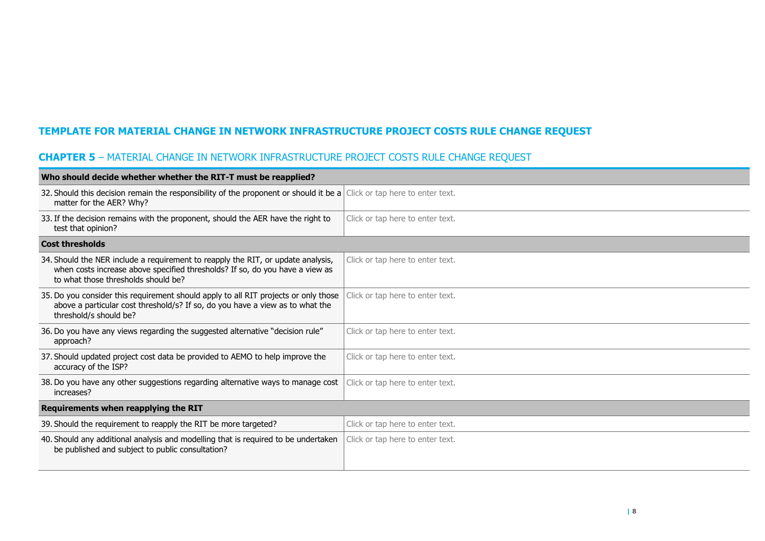# **TEMPLATE FOR MATERIAL CHANGE IN NETWORK INFRASTRUCTURE PROJECT COSTS RULE CHANGE REQUEST**

# **CHAPTER 5** – MATERIAL CHANGE IN NETWORK INFRASTRUCTURE PROJECT COSTS RULE CHANGE REQUEST

| Who should decide whether whether the RIT-T must be reapplied?                                                                                                                                          |                                  |  |
|---------------------------------------------------------------------------------------------------------------------------------------------------------------------------------------------------------|----------------------------------|--|
| 32. Should this decision remain the responsibility of the proponent or should it be a Click or tap here to enter text.<br>matter for the AER? Why?                                                      |                                  |  |
| 33. If the decision remains with the proponent, should the AER have the right to<br>test that opinion?                                                                                                  | Click or tap here to enter text. |  |
| <b>Cost thresholds</b>                                                                                                                                                                                  |                                  |  |
| 34. Should the NER include a requirement to reapply the RIT, or update analysis,<br>when costs increase above specified thresholds? If so, do you have a view as<br>to what those thresholds should be? | Click or tap here to enter text. |  |
| 35. Do you consider this requirement should apply to all RIT projects or only those<br>above a particular cost threshold/s? If so, do you have a view as to what the<br>threshold/s should be?          | Click or tap here to enter text. |  |
| 36. Do you have any views regarding the suggested alternative "decision rule"<br>approach?                                                                                                              | Click or tap here to enter text. |  |
| 37. Should updated project cost data be provided to AEMO to help improve the<br>accuracy of the ISP?                                                                                                    | Click or tap here to enter text. |  |
| 38. Do you have any other suggestions regarding alternative ways to manage cost<br>increases?                                                                                                           | Click or tap here to enter text. |  |
| Requirements when reapplying the RIT                                                                                                                                                                    |                                  |  |
| 39. Should the requirement to reapply the RIT be more targeted?                                                                                                                                         | Click or tap here to enter text. |  |
| 40. Should any additional analysis and modelling that is required to be undertaken<br>be published and subject to public consultation?                                                                  | Click or tap here to enter text. |  |